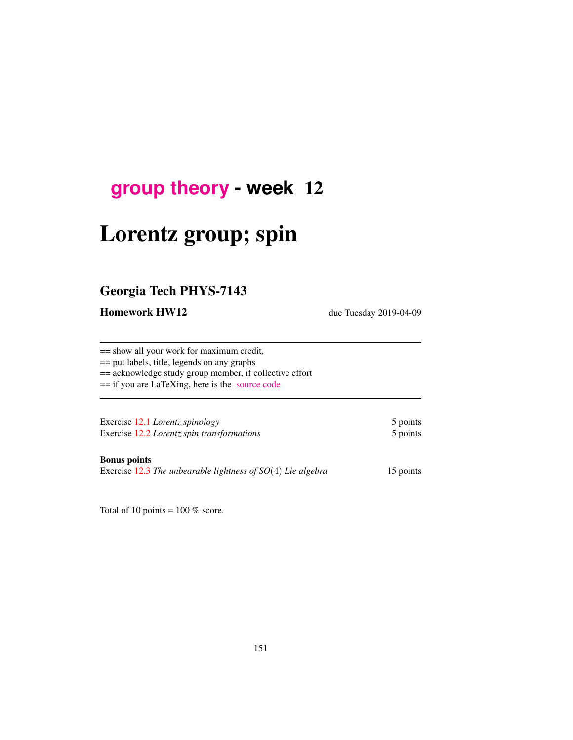## **[group theory](http://birdtracks.eu/courses/PHYS-7143-19/schedule.html) - week** 12

# Lorentz group; spin

## Georgia Tech PHYS-7143

Homework HW12 due Tuesday 2019-04-09

== show all your work for maximum credit,

== put labels, title, legends on any graphs

== acknowledge study group member, if collective effort

== if you are LaTeXing, here is the [source code](http://birdtracks.eu/courses/PHYS-7143-19/exerWeek12.tex)

Exercise 12.1 *Lorentz spinology* 5 points Exercise 12.2 *Lorentz spin transformations* 5 points

#### Bonus points

Exercise 12.3 *The unbearable lightness of SO*(4) *Lie algebra* 15 points

Total of 10 points =  $100\%$  score.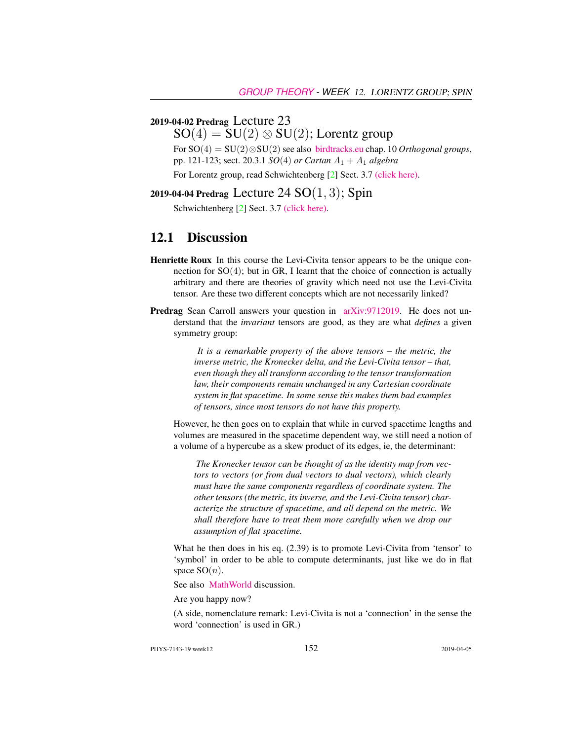#### 2019-04-02 Predrag Lecture 23

 $SO(4) = SU(2) \otimes SU(2)$ ; Lorentz group

For SO(4) = SU(2)⊗SU(2) see also [birdtracks.eu](http://birdtracks.eu/version9.0/GroupTheory.pdf) chap. 10 *Orthogonal groups*, pp. 121-123; sect. 20.3.1 *SO*(4) *or Cartan* A<sup>1</sup> + A<sup>1</sup> *algebra*

For Lorentz group, read Schwichtenberg [2] Sect. 3.7 [\(click here\).](http://ChaosBook.org/library/Schwicht15-3edited.pdf)

2019-04-04 Predrag Lecture 24  $SO(1, 3)$ ; Spin

Schwichtenberg [2] Sect. 3.7 [\(click here\).](http://ChaosBook.org/library/Schwicht15-3edited.pdf)

#### 12.1 Discussion

- Henriette Roux In this course the Levi-Civita tensor appears to be the unique connection for  $SO(4)$ ; but in GR, I learnt that the choice of connection is actually arbitrary and there are theories of gravity which need not use the Levi-Civita tensor. Are these two different concepts which are not necessarily linked?
- Predrag Sean Carroll answers your question in [arXiv:9712019.](http://arXiv.org/abs/9712019) He does not understand that the *invariant* tensors are good, as they are what *defines* a given symmetry group:

*It is a remarkable property of the above tensors – the metric, the inverse metric, the Kronecker delta, and the Levi-Civita tensor – that, even though they all transform according to the tensor transformation law, their components remain unchanged in any Cartesian coordinate system in flat spacetime. In some sense this makes them bad examples of tensors, since most tensors do not have this property.*

However, he then goes on to explain that while in curved spacetime lengths and volumes are measured in the spacetime dependent way, we still need a notion of a volume of a hypercube as a skew product of its edges, ie, the determinant:

*The Kronecker tensor can be thought of as the identity map from vectors to vectors (or from dual vectors to dual vectors), which clearly must have the same components regardless of coordinate system. The other tensors (the metric, its inverse, and the Levi-Civita tensor) characterize the structure of spacetime, and all depend on the metric. We shall therefore have to treat them more carefully when we drop our assumption of flat spacetime.*

What he then does in his eq. (2.39) is to promote Levi-Civita from 'tensor' to 'symbol' in order to be able to compute determinants, just like we do in flat space  $SO(n)$ .

See also [MathWorld](http://mathworld.wolfram.com/PermutationTensor.html) discussion.

Are you happy now?

(A side, nomenclature remark: Levi-Civita is not a 'connection' in the sense the word 'connection' is used in GR.)

PHYS-7143-19 week12 2019-04-05 2019-04-05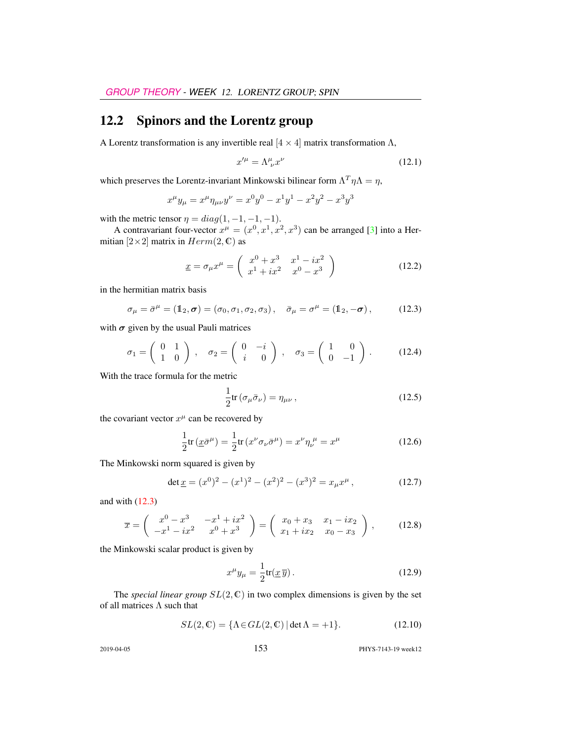## 12.2 Spinors and the Lorentz group

A Lorentz transformation is any invertible real  $[4 \times 4]$  matrix transformation  $\Lambda$ ,

$$
x^{\prime \mu} = \Lambda^{\mu}_{\ \nu} x^{\nu} \tag{12.1}
$$

which preserves the Lorentz-invariant Minkowski bilinear form  $\Lambda^T \eta \Lambda = \eta$ ,

$$
x^{\mu}y_{\mu} = x^{\mu}\eta_{\mu\nu}y^{\nu} = x^{0}y^{0} - x^{1}y^{1} - x^{2}y^{2} - x^{3}y^{3}
$$

with the metric tensor  $\eta = diag(1, -1, -1, -1)$ .

A contravariant four-vector  $x^{\mu} = (x^0, x^1, x^2, x^3)$  can be arranged [3] into a Hermitian  $[2\times2]$  matrix in  $Herm(2, \mathbb{C})$  as

$$
\underline{x} = \sigma_{\mu} x^{\mu} = \begin{pmatrix} x^{0} + x^{3} & x^{1} - ix^{2} \\ x^{1} + ix^{2} & x^{0} - x^{3} \end{pmatrix}
$$
 (12.2)

in the hermitian matrix basis

$$
\sigma_{\mu} = \bar{\sigma}^{\mu} = (1_2, \sigma) = (\sigma_0, \sigma_1, \sigma_2, \sigma_3), \quad \bar{\sigma}_{\mu} = \sigma^{\mu} = (1_2, -\sigma), \quad (12.3)
$$

with  $\sigma$  given by the usual Pauli matrices

$$
\sigma_1 = \begin{pmatrix} 0 & 1 \\ 1 & 0 \end{pmatrix}, \quad \sigma_2 = \begin{pmatrix} 0 & -i \\ i & 0 \end{pmatrix}, \quad \sigma_3 = \begin{pmatrix} 1 & 0 \\ 0 & -1 \end{pmatrix}.
$$
 (12.4)

With the trace formula for the metric

$$
\frac{1}{2}\text{tr}\left(\sigma_{\mu}\bar{\sigma}_{\nu}\right) = \eta_{\mu\nu},\qquad(12.5)
$$

the covariant vector  $x^{\mu}$  can be recovered by

$$
\frac{1}{2}\text{tr}\left(\underline{x}\bar{\sigma}^{\mu}\right) = \frac{1}{2}\text{tr}\left(x^{\nu}\sigma_{\nu}\bar{\sigma}^{\mu}\right) = x^{\nu}\eta_{\nu}^{\ \mu} = x^{\mu} \tag{12.6}
$$

The Minkowski norm squared is given by

$$
\det \underline{x} = (x^0)^2 - (x^1)^2 - (x^2)^2 - (x^3)^2 = x_\mu x^\mu, \qquad (12.7)
$$

and with (12.3)

$$
\overline{x} = \begin{pmatrix} x^0 - x^3 & -x^1 + ix^2 \\ -x^1 - ix^2 & x^0 + x^3 \end{pmatrix} = \begin{pmatrix} x_0 + x_3 & x_1 - ix_2 \\ x_1 + ix_2 & x_0 - x_3 \end{pmatrix},
$$
 (12.8)

the Minkowski scalar product is given by

$$
x^{\mu}y_{\mu} = \frac{1}{2}\text{tr}(\underline{x}\,\overline{y}).\tag{12.9}
$$

The *special linear group*  $SL(2, \mathbb{C})$  in two complex dimensions is given by the set of all matrices  $\Lambda$  such that

$$
SL(2,\mathbb{C}) = \{ \Lambda \in GL(2,\mathbb{C}) \, | \, \det \Lambda = +1 \}. \tag{12.10}
$$

2019-04-05 153 PHYS-7143-19 week12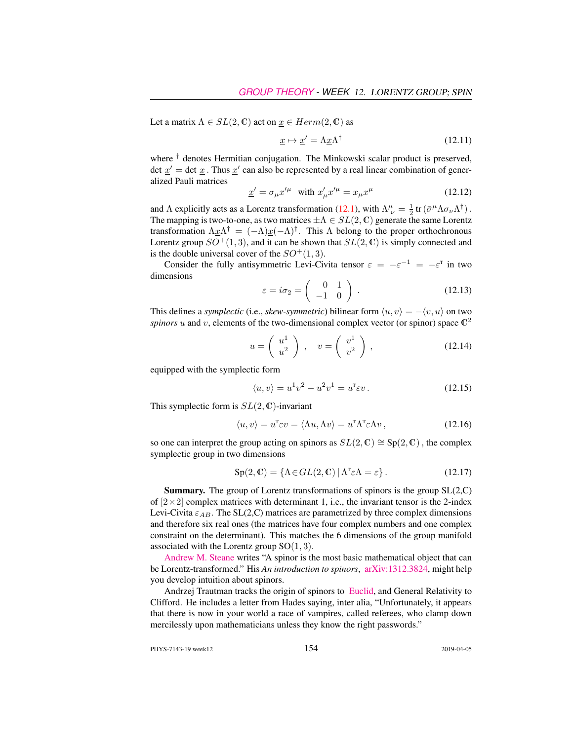Let a matrix  $\Lambda \in SL(2, \mathbb{C})$  act on  $\underline{x} \in Herm(2, \mathbb{C})$  as

$$
\underline{x} \mapsto \underline{x}' = \Lambda \underline{x} \Lambda^{\dagger} \tag{12.11}
$$

where <sup>†</sup> denotes Hermitian conjugation. The Minkowski scalar product is preserved, det  $\underline{x}'$  = det  $\underline{x}$ . Thus  $\underline{x}'$  can also be represented by a real linear combination of generalized Pauli matrices

$$
\underline{x}' = \sigma_{\mu} x'^{\mu} \quad \text{with } x'_{\mu} x'^{\mu} = x_{\mu} x^{\mu} \tag{12.12}
$$

and  $\Lambda$  explicitly acts as a Lorentz transformation (12.1), with  $\Lambda^{\mu}_{ \nu} = \frac{1}{2} \text{tr} (\bar{\sigma}^{\mu} \Lambda \sigma_{\nu} \Lambda^{\dagger})$ . The mapping is two-to-one, as two matrices  $\pm \Lambda \in SL(2, \mathbb{C})$  generate the same Lorentz transformation  $\Lambda \underline{x} \Lambda^{\dagger} = (-\Lambda) \underline{x} (-\Lambda)^{\dagger}$ . This  $\Lambda$  belong to the proper orthochronous Lorentz group  $SO^+(1,3)$ , and it can be shown that  $SL(2,\mathbb{C})$  is simply connected and is the double universal cover of the  $SO^+(1,3)$ .

Consider the fully antisymmetric Levi-Civita tensor  $\varepsilon = -\varepsilon^{-1} = -\varepsilon^{T}$  in two dimensions

$$
\varepsilon = i\sigma_2 = \begin{pmatrix} 0 & 1 \\ -1 & 0 \end{pmatrix} . \tag{12.13}
$$

This defines a *symplectic* (i.e., *skew-symmetric*) bilinear form  $\langle u, v \rangle = -\langle v, u \rangle$  on two *spinors* u and v, elements of the two-dimensional complex vector (or spinor) space  $\mathbb{C}^2$ 

$$
u = \left(\begin{array}{c} u^1 \\ u^2 \end{array}\right) , \quad v = \left(\begin{array}{c} v^1 \\ v^2 \end{array}\right) , \tag{12.14}
$$

equipped with the symplectic form

$$
\langle u, v \rangle = u^1 v^2 - u^2 v^1 = u^{\mathsf{T}} \varepsilon v. \tag{12.15}
$$

This symplectic form is  $SL(2, \mathbb{C})$ -invariant

$$
\langle u, v \rangle = u^{\mathsf{T}} \varepsilon v = \langle \Lambda u, \Lambda v \rangle = u^{\mathsf{T}} \Lambda^{\mathsf{T}} \varepsilon \Lambda v, \qquad (12.16)
$$

so one can interpret the group acting on spinors as  $SL(2, \mathbb{C}) \cong Sp(2, \mathbb{C})$ , the complex symplectic group in two dimensions

$$
Sp(2, \mathbb{C}) = \{ \Lambda \in GL(2, \mathbb{C}) \mid \Lambda^{\mathsf{T}} \varepsilon \Lambda = \varepsilon \}. \tag{12.17}
$$

**Summary.** The group of Lorentz transformations of spinors is the group  $SL(2, \mathbb{C})$ of  $[2\times2]$  complex matrices with determinant 1, i.e., the invariant tensor is the 2-index Levi-Civita  $\varepsilon_{AB}$ . The SL(2,C) matrices are parametrized by three complex dimensions and therefore six real ones (the matrices have four complex numbers and one complex constraint on the determinant). This matches the 6 dimensions of the group manifold associated with the Lorentz group  $SO(1,3)$ .

[Andrew M. Steane](https://users.physics.ox.ac.uk/~Steane/) writes "A spinor is the most basic mathematical object that can be Lorentz-transformed." His *An introduction to spinors*, [arXiv:1312.3824,](http://arXiv.org/abs/1312.3824) might help you develop intuition about spinors.

Andrzej Trautman tracks the origin of spinors to [Euclid,](http://www.fuw.edu.pl/~amt/ref15.pdf) and General Relativity to Clifford. He includes a letter from Hades saying, inter alia, "Unfortunately, it appears that there is now in your world a race of vampires, called referees, who clamp down mercilessly upon mathematicians unless they know the right passwords."

PHYS-7143-19 week12 154 2019-04-05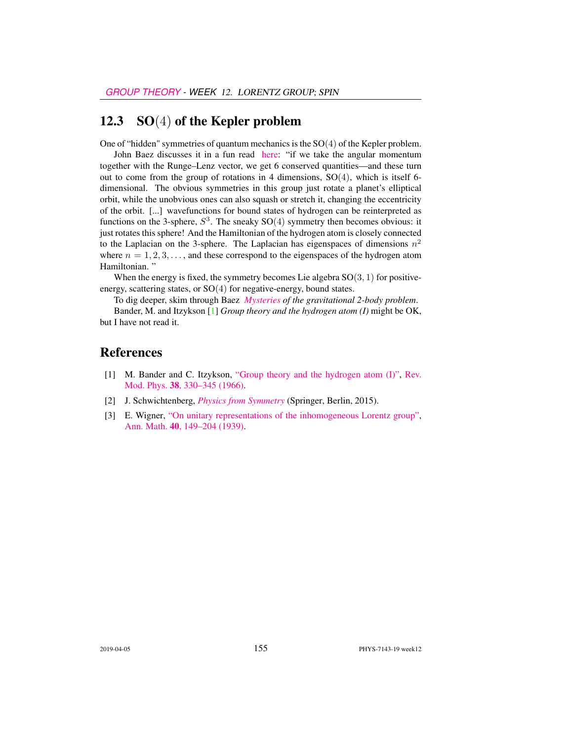#### 12.3  $SO(4)$  of the Kepler problem

One of "hidden" symmetries of quantum mechanics is the SO(4) of the Kepler problem.

John Baez discusses it in a fun read [here:](https://johncarlosbaez.wordpress.com/2018/01/07/the-kepler-problem-and-the-600-cell/) "if we take the angular momentum together with the Runge–Lenz vector, we get 6 conserved quantities—and these turn out to come from the group of rotations in 4 dimensions,  $SO(4)$ , which is itself 6dimensional. The obvious symmetries in this group just rotate a planet's elliptical orbit, while the unobvious ones can also squash or stretch it, changing the eccentricity of the orbit. [...] wavefunctions for bound states of hydrogen can be reinterpreted as functions on the 3-sphere,  $S^3$ . The sneaky  $SO(4)$  symmetry then becomes obvious: it just rotates this sphere! And the Hamiltonian of the hydrogen atom is closely connected to the Laplacian on the 3-sphere. The Laplacian has eigenspaces of dimensions  $n^2$ where  $n = 1, 2, 3, \ldots$ , and these correspond to the eigenspaces of the hydrogen atom Hamiltonian. "

When the energy is fixed, the symmetry becomes Lie algebra  $SO(3, 1)$  for positiveenergy, scattering states, or SO(4) for negative-energy, bound states.

To dig deeper, skim through Baez *[Mysteries](http://math.ucr.edu/home/baez/gravitational.html) of the gravitational 2-body problem*.

Bander, M. and Itzykson [1] *Group theory and the hydrogen atom (I)* might be OK, but I have not read it.

#### References

- [1] M. Bander and C. Itzykson, ["Group theory and the hydrogen atom \(I\)",](http://dx.doi.org/10.1103/revmodphys.38.330) [Rev.](http://dx.doi.org/10.1103/revmodphys.38.330) Mod. Phys. 38[, 330–345 \(1966\).](http://dx.doi.org/10.1103/revmodphys.38.330)
- [2] J. Schwichtenberg, *[Physics from Symmetry](http://dx.doi.org/10.1007/978-3-319-19201-7)* (Springer, Berlin, 2015).
- [3] E. Wigner, ["On unitary representations of the inhomogeneous Lorentz group",](http://www.jstor.org/stable/1968551) Ann. Math. 40[, 149–204 \(1939\).](http://www.jstor.org/stable/1968551)